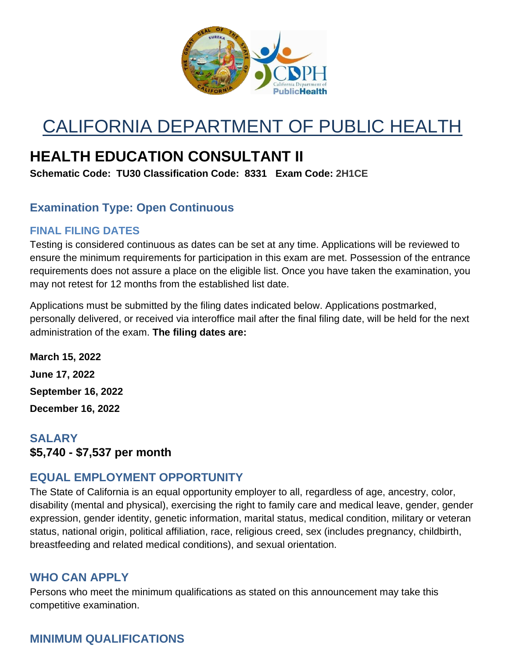

# CALIFORNIA DEPARTMENT OF PUBLIC HEALTH

## **HEALTH EDUCATION CONSULTANT II**

**Schematic Code: TU30 Classification Code: 8331 Exam Code: 2H1CE**

## **Examination Type: Open Continuous**

## **FINAL FILING DATES**

Testing is considered continuous as dates can be set at any time. Applications will be reviewed to ensure the minimum requirements for participation in this exam are met. Possession of the entrance requirements does not assure a place on the eligible list. Once you have taken the examination, you may not retest for 12 months from the established list date.

Applications must be submitted by the filing dates indicated below. Applications postmarked, personally delivered, or received via interoffice mail after the final filing date, will be held for the next administration of the exam. **The filing dates are:**

**March 15, 2022 June 17, 2022 September 16, 2022 December 16, 2022**

## **SALARY \$5,740 - \$7,537 per month**

## **EQUAL EMPLOYMENT OPPORTUNITY**

The State of California is an equal opportunity employer to all, regardless of age, ancestry, color, disability (mental and physical), exercising the right to family care and medical leave, gender, gender expression, gender identity, genetic information, marital status, medical condition, military or veteran status, national origin, political affiliation, race, religious creed, sex (includes pregnancy, childbirth, breastfeeding and related medical conditions), and sexual orientation.

## **WHO CAN APPLY**

Persons who meet the minimum qualifications as stated on this announcement may take this competitive examination.

## **MINIMUM QUALIFICATIONS**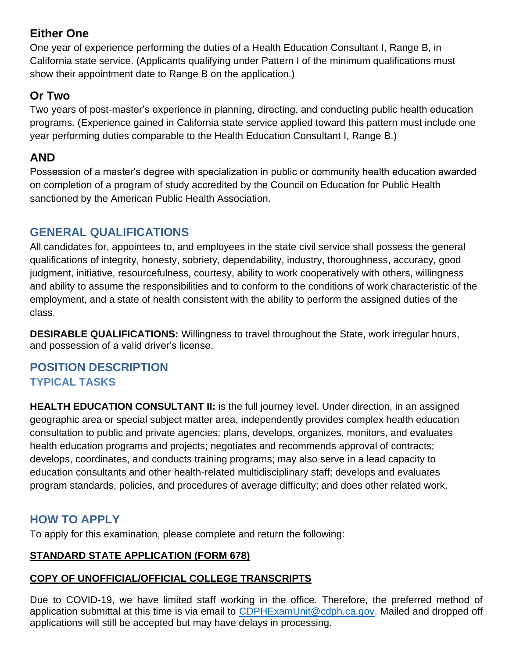## **Either One**

One year of experience performing the duties of a Health Education Consultant I, Range B, in California state service. (Applicants qualifying under Pattern I of the minimum qualifications must show their appointment date to Range B on the application.)

## **Or Two**

Two years of post-master's experience in planning, directing, and conducting public health education programs. (Experience gained in California state service applied toward this pattern must include one year performing duties comparable to the Health Education Consultant I, Range B.)

## **AND**

Possession of a master's degree with specialization in public or community health education awarded on completion of a program of study accredited by the Council on Education for Public Health sanctioned by the American Public Health Association.

## **GENERAL QUALIFICATIONS**

All candidates for, appointees to, and employees in the state civil service shall possess the general qualifications of integrity, honesty, sobriety, dependability, industry, thoroughness, accuracy, good judgment, initiative, resourcefulness, courtesy, ability to work cooperatively with others, willingness and ability to assume the responsibilities and to conform to the conditions of work characteristic of the employment, and a state of health consistent with the ability to perform the assigned duties of the class.

**DESIRABLE QUALIFICATIONS:** Willingness to travel throughout the State, work irregular hours, and possession of a valid driver's license.

## **POSITION DESCRIPTION TYPICAL TASKS**

**HEALTH EDUCATION CONSULTANT II:** is the full journey level. Under direction, in an assigned geographic area or special subject matter area, independently provides complex health education consultation to public and private agencies; plans, develops, organizes, monitors, and evaluates health education programs and projects; negotiates and recommends approval of contracts; develops, coordinates, and conducts training programs; may also serve in a lead capacity to education consultants and other health-related multidisciplinary staff; develops and evaluates program standards, policies, and procedures of average difficulty; and does other related work.

## **HOW TO APPLY**

To apply for this examination, please complete and return the following:

## **STANDARD STATE APPLICATION (FORM 678)**

#### **COPY OF UNOFFICIAL/OFFICIAL COLLEGE TRANSCRIPTS**

Due to COVID-19, we have limited staff working in the office. Therefore, the preferred method of application submittal at this time is via email to [CDPHExamUnit@cdph.ca.gov.](mailto:CDPHExamUnit@cdph.ca.gov) Mailed and dropped off applications will still be accepted but may have delays in processing.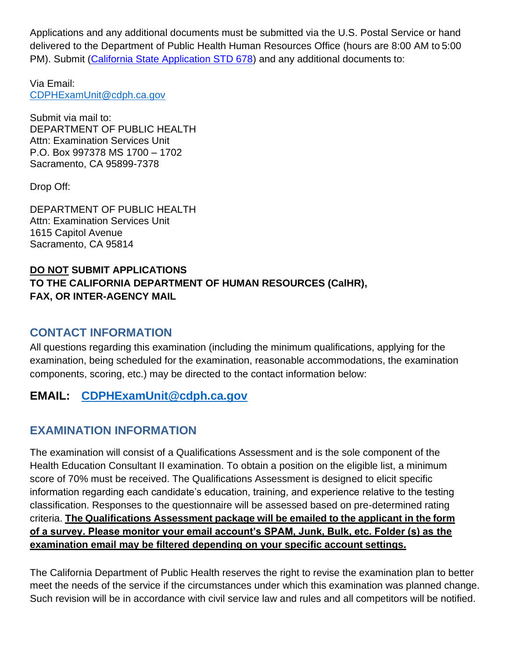Applications and any additional documents must be submitted via the U.S. Postal Service or hand delivered to the Department of Public Health Human Resources Office (hours are 8:00 AM to 5:00 PM). Submit [\(California State Application STD 678\)](https://jobs.ca.gov/pdf/STD678.pdf) and any additional documents to:

Via Email: [CDPHExamUnit@cdph.ca.gov](mailto:CDPHExamUnit@cdph.ca.gov)

Submit via mail to: DEPARTMENT OF PUBLIC HEALTH Attn: Examination Services Unit P.O. Box 997378 MS 1700 – 1702 Sacramento, CA 95899-7378

Drop Off:

DEPARTMENT OF PUBLIC HEALTH Attn: Examination Services Unit 1615 Capitol Avenue Sacramento, CA 95814

#### **DO NOT SUBMIT APPLICATIONS TO THE CALIFORNIA DEPARTMENT OF HUMAN RESOURCES (CalHR), FAX, OR INTER-AGENCY MAIL**

## **CONTACT INFORMATION**

All questions regarding this examination (including the minimum qualifications, applying for the examination, being scheduled for the examination, reasonable accommodations, the examination components, scoring, etc.) may be directed to the contact information below:

**EMAIL: [CDPHExamUnit@cdph.ca.gov](mailto:CDPHExamUnit@cdph.ca.gov)**

## **EXAMINATION INFORMATION**

The examination will consist of a Qualifications Assessment and is the sole component of the Health Education Consultant II examination. To obtain a position on the eligible list, a minimum score of 70% must be received. The Qualifications Assessment is designed to elicit specific information regarding each candidate's education, training, and experience relative to the testing classification. Responses to the questionnaire will be assessed based on pre-determined rating criteria. **The Qualifications Assessment package will be emailed to the applicant in the form of a survey. Please monitor your email account's SPAM, Junk, Bulk, etc. Folder (s) as the examination email may be filtered depending on your specific account settings.**

The California Department of Public Health reserves the right to revise the examination plan to better meet the needs of the service if the circumstances under which this examination was planned change. Such revision will be in accordance with civil service law and rules and all competitors will be notified.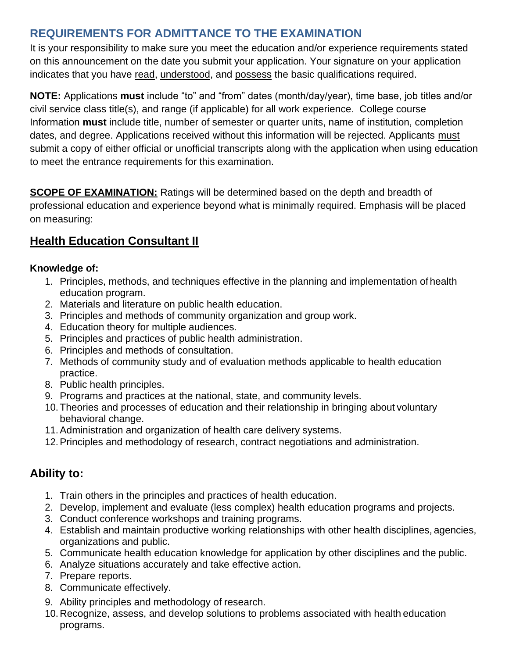## **REQUIREMENTS FOR ADMITTANCE TO THE EXAMINATION**

It is your responsibility to make sure you meet the education and/or experience requirements stated on this announcement on the date you submit your application. Your signature on your application indicates that you have read, understood, and possess the basic qualifications required.

**NOTE:** Applications **must** include "to" and "from" dates (month/day/year), time base, job titles and/or civil service class title(s), and range (if applicable) for all work experience. College course Information **must** include title, number of semester or quarter units, name of institution, completion dates, and degree. Applications received without this information will be rejected. Applicants must submit a copy of either official or unofficial transcripts along with the application when using education to meet the entrance requirements for this examination.

**SCOPE OF EXAMINATION:** Ratings will be determined based on the depth and breadth of professional education and experience beyond what is minimally required. Emphasis will be placed on measuring:

## **Health Education Consultant II**

#### **Knowledge of:**

- 1. Principles, methods, and techniques effective in the planning and implementation of health education program.
- 2. Materials and literature on public health education.
- 3. Principles and methods of community organization and group work.
- 4. Education theory for multiple audiences.
- 5. Principles and practices of public health administration.
- 6. Principles and methods of consultation.
- 7. Methods of community study and of evaluation methods applicable to health education practice.
- 8. Public health principles.
- 9. Programs and practices at the national, state, and community levels.
- 10.Theories and processes of education and their relationship in bringing about voluntary behavioral change.
- 11.Administration and organization of health care delivery systems.
- 12.Principles and methodology of research, contract negotiations and administration.

## **Ability to:**

- 1. Train others in the principles and practices of health education.
- 2. Develop, implement and evaluate (less complex) health education programs and projects.
- 3. Conduct conference workshops and training programs.
- 4. Establish and maintain productive working relationships with other health disciplines, agencies, organizations and public.
- 5. Communicate health education knowledge for application by other disciplines and the public.
- 6. Analyze situations accurately and take effective action.
- 7. Prepare reports.
- 8. Communicate effectively.
- 9. Ability principles and methodology of research.
- 10. Recognize, assess, and develop solutions to problems associated with health education programs.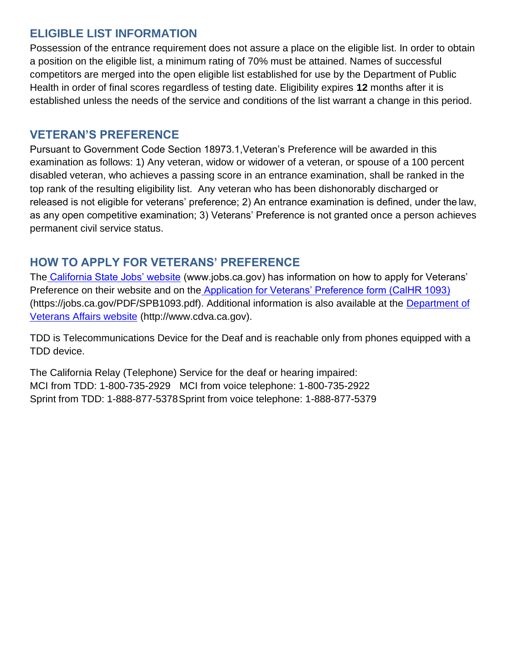## **ELIGIBLE LIST INFORMATION**

Possession of the entrance requirement does not assure a place on the eligible list. In order to obtain a position on the eligible list, a minimum rating of 70% must be attained. Names of successful competitors are merged into the open eligible list established for use by the Department of Public Health in order of final scores regardless of testing date. Eligibility expires **12** months after it is established unless the needs of the service and conditions of the list warrant a change in this period.

#### **VETERAN'S PREFERENCE**

Pursuant to Government Code Section 18973.1,Veteran's Preference will be awarded in this examination as follows: 1) Any veteran, widow or widower of a veteran, or spouse of a 100 percent disabled veteran, who achieves a passing score in an entrance examination, shall be ranked in the top rank of the resulting eligibility list. Any veteran who has been dishonorably discharged or released is not eligible for veterans' preference; 2) An entrance examination is defined, under the law, as any open competitive examination; 3) Veterans' Preference is not granted once a person achieves permanent civil service status.

## **HOW TO APPLY FOR VETERANS' PREFERENCE**

The [California State Jobs' website](http://www.jobs.ca.gov/) (www.jobs.ca.gov) has information on how to apply for Veterans' Preference on their website and on the [Application for Veterans' Preference form \(CalHR 1093\)](https://jobs.ca.gov/PDF/SPB1093.pdf) (https://jobs.ca.gov/PDF/SPB1093.pdf). Additional information is also available at the [Department of](http://www.cdva.ca.gov/) [Veterans Affairs website](http://www.cdva.ca.gov/) (http://www.cdva.ca.gov).

TDD is Telecommunications Device for the Deaf and is reachable only from phones equipped with a TDD device.

The California Relay (Telephone) Service for the deaf or hearing impaired: MCI from TDD: 1-800-735-2929 MCI from voice telephone: 1-800-735-2922 Sprint from TDD: 1-888-877-5378Sprint from voice telephone: 1-888-877-5379